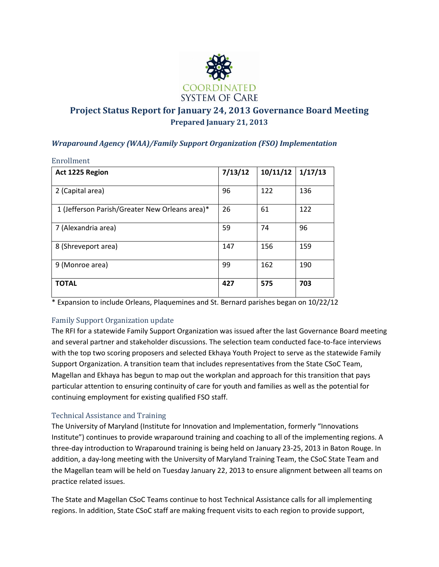

# **Project Status Report for January 24, 2013 Governance Board Meeting Prepared January 21, 2013**

## *Wraparound Agency (WAA)/Family Support Organization (FSO) Implementation*

| Enrollment                                     |         |          |         |
|------------------------------------------------|---------|----------|---------|
| Act 1225 Region                                | 7/13/12 | 10/11/12 | 1/17/13 |
| 2 (Capital area)                               | 96      | 122      | 136     |
| 1 (Jefferson Parish/Greater New Orleans area)* | 26      | 61       | 122     |
| 7 (Alexandria area)                            | 59      | 74       | 96      |
| 8 (Shreveport area)                            | 147     | 156      | 159     |
| 9 (Monroe area)                                | 99      | 162      | 190     |
| <b>TOTAL</b>                                   | 427     | 575      | 703     |

\* Expansion to include Orleans, Plaquemines and St. Bernard parishes began on 10/22/12

## Family Support Organization update

The RFI for a statewide Family Support Organization was issued after the last Governance Board meeting and several partner and stakeholder discussions. The selection team conducted face-to-face interviews with the top two scoring proposers and selected Ekhaya Youth Project to serve as the statewide Family Support Organization. A transition team that includes representatives from the State CSoC Team, Magellan and Ekhaya has begun to map out the workplan and approach for this transition that pays particular attention to ensuring continuity of care for youth and families as well as the potential for continuing employment for existing qualified FSO staff.

## Technical Assistance and Training

The University of Maryland (Institute for Innovation and Implementation, formerly "Innovations Institute") continues to provide wraparound training and coaching to all of the implementing regions. A three-day introduction to Wraparound training is being held on January 23-25, 2013 in Baton Rouge. In addition, a day-long meeting with the University of Maryland Training Team, the CSoC State Team and the Magellan team will be held on Tuesday January 22, 2013 to ensure alignment between all teams on practice related issues.

The State and Magellan CSoC Teams continue to host Technical Assistance calls for all implementing regions. In addition, State CSoC staff are making frequent visits to each region to provide support,